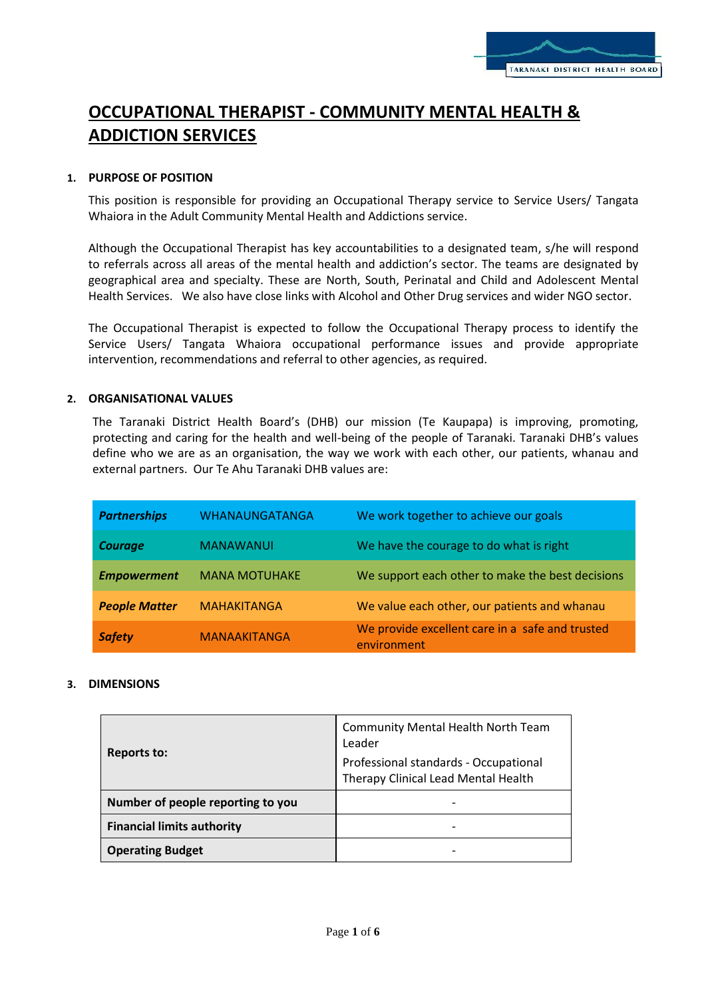# **OCCUPATIONAL THERAPIST - COMMUNITY MENTAL HEALTH & ADDICTION SERVICES**

# **1. PURPOSE OF POSITION**

This position is responsible for providing an Occupational Therapy service to Service Users/ Tangata Whaiora in the Adult Community Mental Health and Addictions service.

Although the Occupational Therapist has key accountabilities to a designated team, s/he will respond to referrals across all areas of the mental health and addiction's sector. The teams are designated by geographical area and specialty. These are North, South, Perinatal and Child and Adolescent Mental Health Services. We also have close links with Alcohol and Other Drug services and wider NGO sector.

The Occupational Therapist is expected to follow the Occupational Therapy process to identify the Service Users/ Tangata Whaiora occupational performance issues and provide appropriate intervention, recommendations and referral to other agencies, as required.

# **2. ORGANISATIONAL VALUES**

The Taranaki District Health Board's (DHB) our mission (Te Kaupapa) is improving, promoting, protecting and caring for the health and well-being of the people of Taranaki. Taranaki DHB's values define who we are as an organisation, the way we work with each other, our patients, whanau and external partners. Our Te Ahu Taranaki DHB values are:

| <b>Partnerships</b>  | WHANAUNGATANGA       | We work together to achieve our goals                          |
|----------------------|----------------------|----------------------------------------------------------------|
| <b>Courage</b>       | <b>MANAWANUI</b>     | We have the courage to do what is right                        |
| <b>Empowerment</b>   | <b>MANA MOTUHAKE</b> | We support each other to make the best decisions               |
| <b>People Matter</b> | <b>MAHAKITANGA</b>   | We value each other, our patients and whanau                   |
| <b>Safety</b>        | <b>MANAAKITANGA</b>  | We provide excellent care in a safe and trusted<br>environment |

# **3. DIMENSIONS**

| <b>Reports to:</b>                | Community Mental Health North Team<br>Leader                                 |
|-----------------------------------|------------------------------------------------------------------------------|
|                                   | Professional standards - Occupational<br>Therapy Clinical Lead Mental Health |
| Number of people reporting to you |                                                                              |
| <b>Financial limits authority</b> |                                                                              |
| <b>Operating Budget</b>           |                                                                              |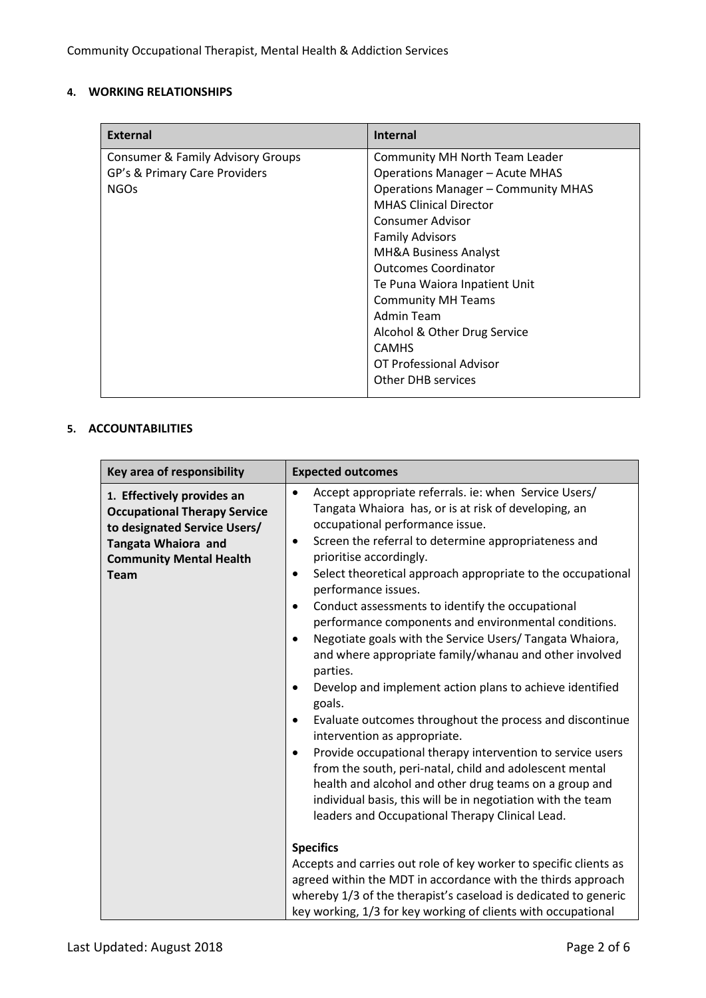# **4. WORKING RELATIONSHIPS**

| <b>External</b>                   | <b>Internal</b>                            |
|-----------------------------------|--------------------------------------------|
| Consumer & Family Advisory Groups | <b>Community MH North Team Leader</b>      |
| GP's & Primary Care Providers     | <b>Operations Manager - Acute MHAS</b>     |
| <b>NGOs</b>                       | <b>Operations Manager - Community MHAS</b> |
|                                   | <b>MHAS Clinical Director</b>              |
|                                   | Consumer Advisor                           |
|                                   | <b>Family Advisors</b>                     |
|                                   | MH&A Business Analyst                      |
|                                   | <b>Outcomes Coordinator</b>                |
|                                   | Te Puna Waiora Inpatient Unit              |
|                                   | <b>Community MH Teams</b>                  |
|                                   | Admin Team                                 |
|                                   | Alcohol & Other Drug Service               |
|                                   | <b>CAMHS</b>                               |
|                                   | OT Professional Advisor                    |
|                                   | <b>Other DHB services</b>                  |

# **5. ACCOUNTABILITIES**

| Key area of responsibility                                                                                                                                                | <b>Expected outcomes</b>                                                                                                                                                                                                                                                                                                                                                                                                                                                                                                                                                                                                                                                                                                                                                                                                                                                                                                                                                                                                                                                                     |
|---------------------------------------------------------------------------------------------------------------------------------------------------------------------------|----------------------------------------------------------------------------------------------------------------------------------------------------------------------------------------------------------------------------------------------------------------------------------------------------------------------------------------------------------------------------------------------------------------------------------------------------------------------------------------------------------------------------------------------------------------------------------------------------------------------------------------------------------------------------------------------------------------------------------------------------------------------------------------------------------------------------------------------------------------------------------------------------------------------------------------------------------------------------------------------------------------------------------------------------------------------------------------------|
| 1. Effectively provides an<br><b>Occupational Therapy Service</b><br>to designated Service Users/<br>Tangata Whaiora and<br><b>Community Mental Health</b><br><b>Team</b> | Accept appropriate referrals. ie: when Service Users/<br>$\bullet$<br>Tangata Whaiora has, or is at risk of developing, an<br>occupational performance issue.<br>Screen the referral to determine appropriateness and<br>٠<br>prioritise accordingly.<br>Select theoretical approach appropriate to the occupational<br>$\bullet$<br>performance issues.<br>Conduct assessments to identify the occupational<br>٠<br>performance components and environmental conditions.<br>Negotiate goals with the Service Users/ Tangata Whaiora,<br>and where appropriate family/whanau and other involved<br>parties.<br>Develop and implement action plans to achieve identified<br>goals.<br>Evaluate outcomes throughout the process and discontinue<br>٠<br>intervention as appropriate.<br>Provide occupational therapy intervention to service users<br>٠<br>from the south, peri-natal, child and adolescent mental<br>health and alcohol and other drug teams on a group and<br>individual basis, this will be in negotiation with the team<br>leaders and Occupational Therapy Clinical Lead. |
|                                                                                                                                                                           | <b>Specifics</b><br>Accepts and carries out role of key worker to specific clients as<br>agreed within the MDT in accordance with the thirds approach<br>whereby 1/3 of the therapist's caseload is dedicated to generic<br>key working, 1/3 for key working of clients with occupational                                                                                                                                                                                                                                                                                                                                                                                                                                                                                                                                                                                                                                                                                                                                                                                                    |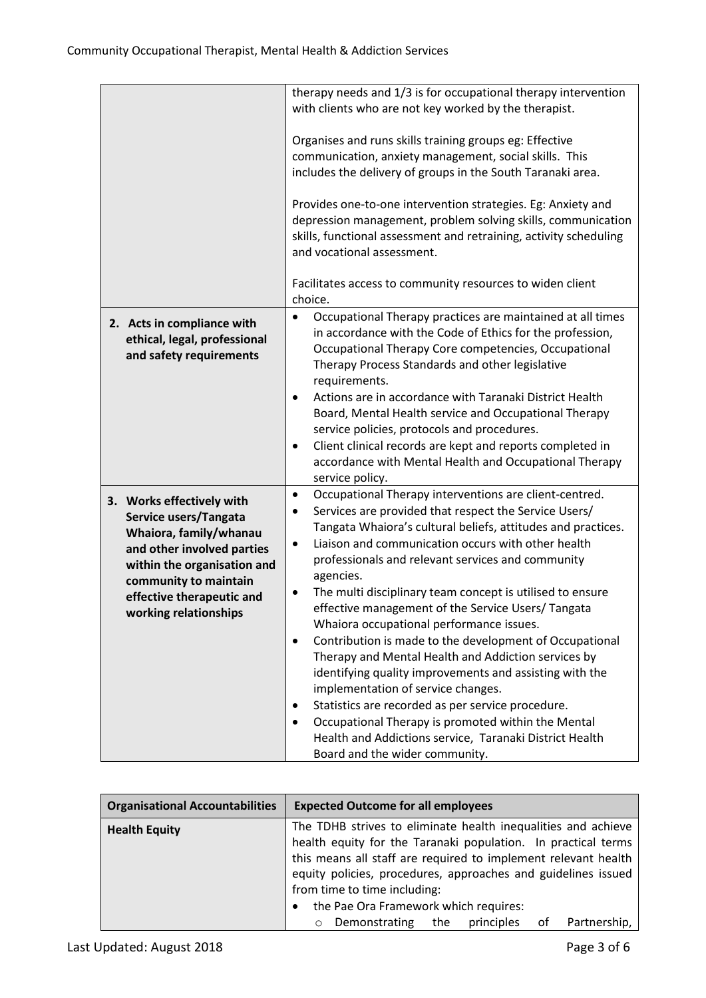|                              | therapy needs and 1/3 is for occupational therapy intervention                                  |
|------------------------------|-------------------------------------------------------------------------------------------------|
|                              | with clients who are not key worked by the therapist.                                           |
|                              |                                                                                                 |
|                              | Organises and runs skills training groups eg: Effective                                         |
|                              | communication, anxiety management, social skills. This                                          |
|                              | includes the delivery of groups in the South Taranaki area.                                     |
|                              |                                                                                                 |
|                              | Provides one-to-one intervention strategies. Eg: Anxiety and                                    |
|                              | depression management, problem solving skills, communication                                    |
|                              | skills, functional assessment and retraining, activity scheduling<br>and vocational assessment. |
|                              |                                                                                                 |
|                              | Facilitates access to community resources to widen client<br>choice.                            |
| 2. Acts in compliance with   | Occupational Therapy practices are maintained at all times<br>$\bullet$                         |
| ethical, legal, professional | in accordance with the Code of Ethics for the profession,                                       |
| and safety requirements      | Occupational Therapy Core competencies, Occupational                                            |
|                              | Therapy Process Standards and other legislative                                                 |
|                              | requirements.                                                                                   |
|                              | Actions are in accordance with Taranaki District Health<br>$\bullet$                            |
|                              | Board, Mental Health service and Occupational Therapy                                           |
|                              | service policies, protocols and procedures.                                                     |
|                              | Client clinical records are kept and reports completed in<br>$\bullet$                          |
|                              | accordance with Mental Health and Occupational Therapy                                          |
|                              | service policy.                                                                                 |
|                              | Occupational Therapy interventions are client-centred.<br>$\bullet$                             |
| 3. Works effectively with    | Services are provided that respect the Service Users/<br>$\bullet$                              |
| Service users/Tangata        | Tangata Whaiora's cultural beliefs, attitudes and practices.                                    |
| Whaiora, family/whanau       | Liaison and communication occurs with other health<br>$\bullet$                                 |
| and other involved parties   | professionals and relevant services and community                                               |
| within the organisation and  | agencies.                                                                                       |
| community to maintain        | The multi disciplinary team concept is utilised to ensure<br>$\bullet$                          |
| effective therapeutic and    | effective management of the Service Users/ Tangata                                              |
| working relationships        | Whaiora occupational performance issues.                                                        |
|                              | Contribution is made to the development of Occupational<br>$\bullet$                            |
|                              | Therapy and Mental Health and Addiction services by                                             |
|                              | identifying quality improvements and assisting with the                                         |
|                              | implementation of service changes.                                                              |
|                              |                                                                                                 |
|                              | Statistics are recorded as per service procedure.<br>$\bullet$                                  |
|                              | Occupational Therapy is promoted within the Mental                                              |
|                              | Health and Addictions service, Taranaki District Health                                         |
|                              | Board and the wider community.                                                                  |

| <b>Organisational Accountabilities</b> | <b>Expected Outcome for all employees</b>                                                                                                                                                                                                                                                                                                  |  |
|----------------------------------------|--------------------------------------------------------------------------------------------------------------------------------------------------------------------------------------------------------------------------------------------------------------------------------------------------------------------------------------------|--|
| <b>Health Equity</b>                   | The TDHB strives to eliminate health inequalities and achieve<br>health equity for the Taranaki population. In practical terms<br>this means all staff are required to implement relevant health<br>equity policies, procedures, approaches and guidelines issued<br>from time to time including:<br>the Pae Ora Framework which requires: |  |
|                                        | principles<br>Partnership,<br>Demonstrating<br>the<br>0t<br>$\circ$                                                                                                                                                                                                                                                                        |  |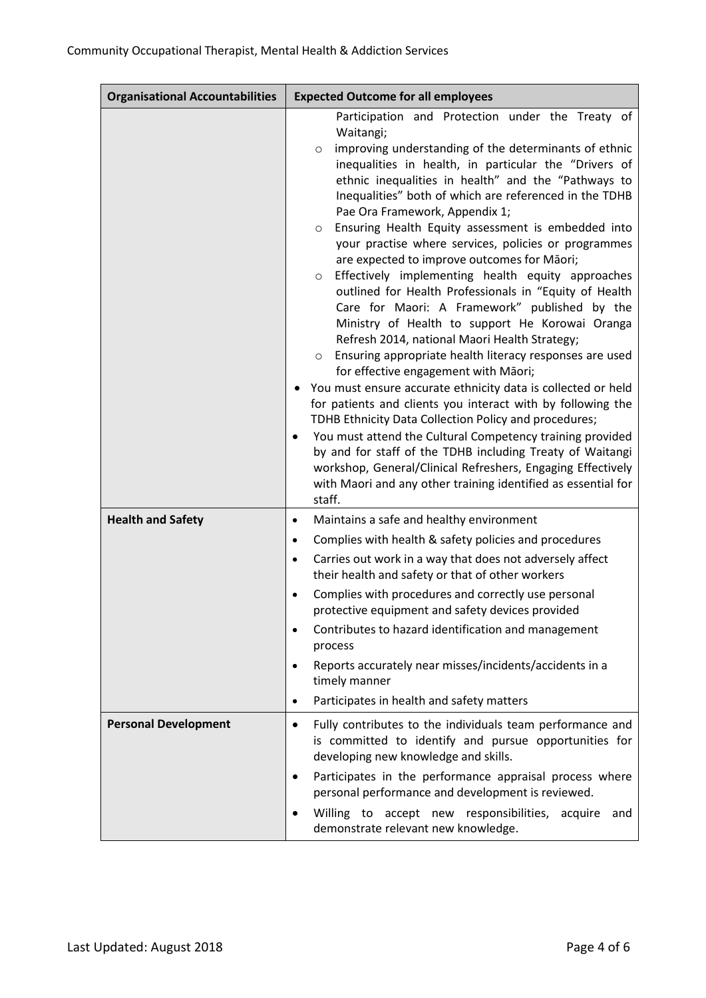| <b>Organisational Accountabilities</b> | <b>Expected Outcome for all employees</b>                                                                                                                                                                                                                                                                                                                                                                                                                                                                                                                                                                                                                                                                                                                                                                                                                                                                                                                                                                                                                                                                                                                                                                                                                                                                                                                          |
|----------------------------------------|--------------------------------------------------------------------------------------------------------------------------------------------------------------------------------------------------------------------------------------------------------------------------------------------------------------------------------------------------------------------------------------------------------------------------------------------------------------------------------------------------------------------------------------------------------------------------------------------------------------------------------------------------------------------------------------------------------------------------------------------------------------------------------------------------------------------------------------------------------------------------------------------------------------------------------------------------------------------------------------------------------------------------------------------------------------------------------------------------------------------------------------------------------------------------------------------------------------------------------------------------------------------------------------------------------------------------------------------------------------------|
|                                        | Participation and Protection under the Treaty of<br>Waitangi;<br>improving understanding of the determinants of ethnic<br>$\circ$<br>inequalities in health, in particular the "Drivers of<br>ethnic inequalities in health" and the "Pathways to<br>Inequalities" both of which are referenced in the TDHB<br>Pae Ora Framework, Appendix 1;<br>Ensuring Health Equity assessment is embedded into<br>O<br>your practise where services, policies or programmes<br>are expected to improve outcomes for Māori;<br>Effectively implementing health equity approaches<br>$\circ$<br>outlined for Health Professionals in "Equity of Health<br>Care for Maori: A Framework" published by the<br>Ministry of Health to support He Korowai Oranga<br>Refresh 2014, national Maori Health Strategy;<br>Ensuring appropriate health literacy responses are used<br>O<br>for effective engagement with Māori;<br>You must ensure accurate ethnicity data is collected or held<br>for patients and clients you interact with by following the<br>TDHB Ethnicity Data Collection Policy and procedures;<br>You must attend the Cultural Competency training provided<br>by and for staff of the TDHB including Treaty of Waitangi<br>workshop, General/Clinical Refreshers, Engaging Effectively<br>with Maori and any other training identified as essential for<br>staff. |
| <b>Health and Safety</b>               | Maintains a safe and healthy environment<br>$\bullet$<br>Complies with health & safety policies and procedures<br>$\bullet$<br>Carries out work in a way that does not adversely affect<br>$\bullet$<br>their health and safety or that of other workers<br>Complies with procedures and correctly use personal<br>$\bullet$<br>protective equipment and safety devices provided<br>Contributes to hazard identification and management<br>process<br>Reports accurately near misses/incidents/accidents in a<br>$\bullet$<br>timely manner<br>Participates in health and safety matters<br>$\bullet$                                                                                                                                                                                                                                                                                                                                                                                                                                                                                                                                                                                                                                                                                                                                                              |
| <b>Personal Development</b>            | Fully contributes to the individuals team performance and<br>$\bullet$<br>is committed to identify and pursue opportunities for<br>developing new knowledge and skills.<br>Participates in the performance appraisal process where<br>$\bullet$<br>personal performance and development is reviewed.<br>Willing to accept new responsibilities, acquire<br>and<br>demonstrate relevant new knowledge.                                                                                                                                                                                                                                                                                                                                                                                                                                                                                                                                                                                                                                                                                                                                                                                                                                                                                                                                                              |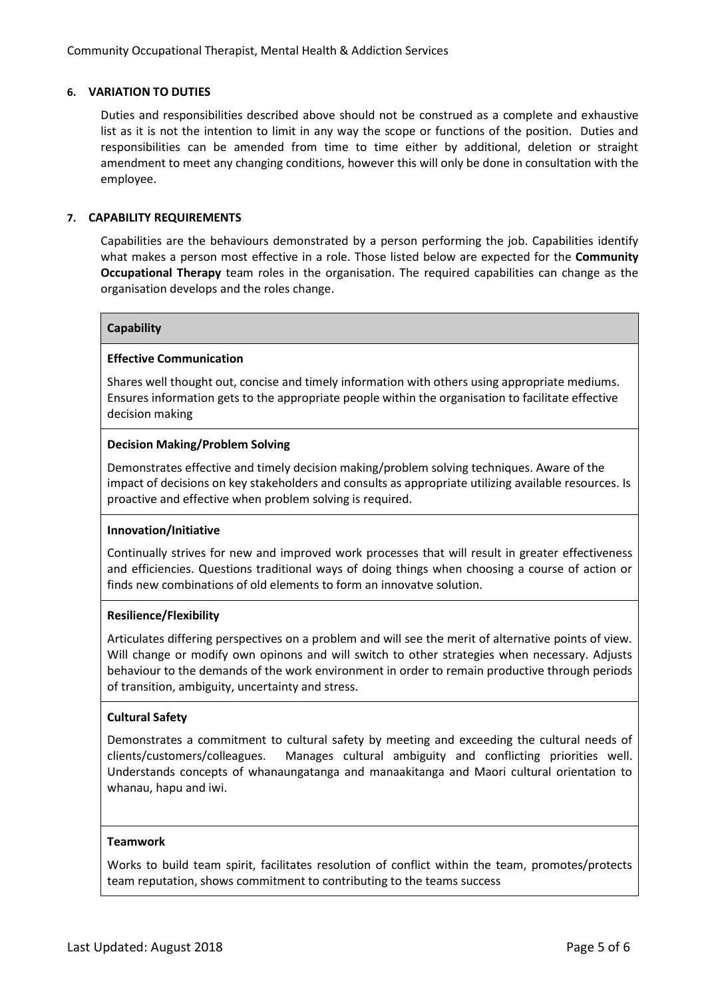#### **6. VARIATION TO DUTIES**

Duties and responsibilities described above should not be construed as a complete and exhaustive list as it is not the intention to limit in any way the scope or functions of the position. Duties and responsibilities can be amended from time to time either by additional, deletion or straight amendment to meet any changing conditions, however this will only be done in consultation with the employee.

#### **7. CAPABILITY REQUIREMENTS**

Capabilities are the behaviours demonstrated by a person performing the job. Capabilities identify what makes a person most effective in a role. Those listed below are expected for the **Community Occupational Therapy** team roles in the organisation. The required capabilities can change as the organisation develops and the roles change.

#### **Capability**

#### **Effective Communication**

Shares well thought out, concise and timely information with others using appropriate mediums. Ensures information gets to the appropriate people within the organisation to facilitate effective decision making

#### **Decision Making/Problem Solving**

Demonstrates effective and timely decision making/problem solving techniques. Aware of the impact of decisions on key stakeholders and consults as appropriate utilizing available resources. Is proactive and effective when problem solving is required.

#### **Innovation/Initiative**

Continually strives for new and improved work processes that will result in greater effectiveness and efficiencies. Questions traditional ways of doing things when choosing a course of action or finds new combinations of old elements to form an innovatve solution.

#### **Resilience/Flexibility**

Articulates differing perspectives on a problem and will see the merit of alternative points of view. Will change or modify own opinons and will switch to other strategies when necessary. Adjusts behaviour to the demands of the work environment in order to remain productive through periods of transition, ambiguity, uncertainty and stress.

#### **Cultural Safety**

Demonstrates a commitment to cultural safety by meeting and exceeding the cultural needs of clients/customers/colleagues. Manages cultural ambiguity and conflicting priorities well. Understands concepts of whanaungatanga and manaakitanga and Maori cultural orientation to whanau, hapu and iwi.

#### **Teamwork**

Works to build team spirit, facilitates resolution of conflict within the team, promotes/protects team reputation, shows commitment to contributing to the teams success